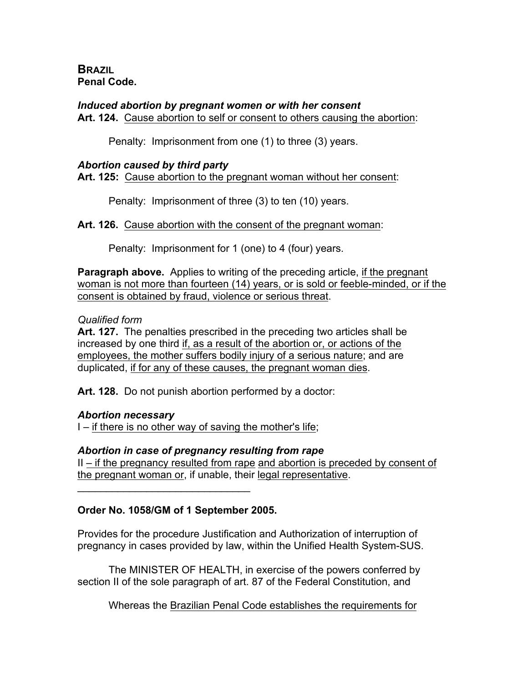**BRAZIL Penal Code.**

## *Induced abortion by pregnant women or with her consent*

**Art. 124.** Cause abortion to self or consent to others causing the abortion:

Penalty: Imprisonment from one (1) to three (3) years.

### *Abortion caused by third party*

**Art. 125:** Cause abortion to the pregnant woman without her consent:

Penalty: Imprisonment of three (3) to ten (10) years.

**Art. 126.** Cause abortion with the consent of the pregnant woman:

Penalty: Imprisonment for 1 (one) to 4 (four) years.

**Paragraph above.** Applies to writing of the preceding article, if the pregnant woman is not more than fourteen (14) years, or is sold or feeble-minded, or if the consent is obtained by fraud, violence or serious threat.

### *Qualified form*

**Art. 127.** The penalties prescribed in the preceding two articles shall be increased by one third if, as a result of the abortion or, or actions of the employees, the mother suffers bodily injury of a serious nature; and are duplicated, if for any of these causes, the pregnant woman dies.

**Art. 128.** Do not punish abortion performed by a doctor:

## *Abortion necessary*

I – if there is no other way of saving the mother's life;

## *Abortion in case of pregnancy resulting from rape*

II – if the pregnancy resulted from rape and abortion is preceded by consent of the pregnant woman or, if unable, their legal representative.

## **Order No. 1058/GM of 1 September 2005.**

 $\mathcal{L}_\text{max}$  and  $\mathcal{L}_\text{max}$  and  $\mathcal{L}_\text{max}$ 

Provides for the procedure Justification and Authorization of interruption of pregnancy in cases provided by law, within the Unified Health System-SUS.

The MINISTER OF HEALTH, in exercise of the powers conferred by section II of the sole paragraph of art. 87 of the Federal Constitution, and

Whereas the Brazilian Penal Code establishes the requirements for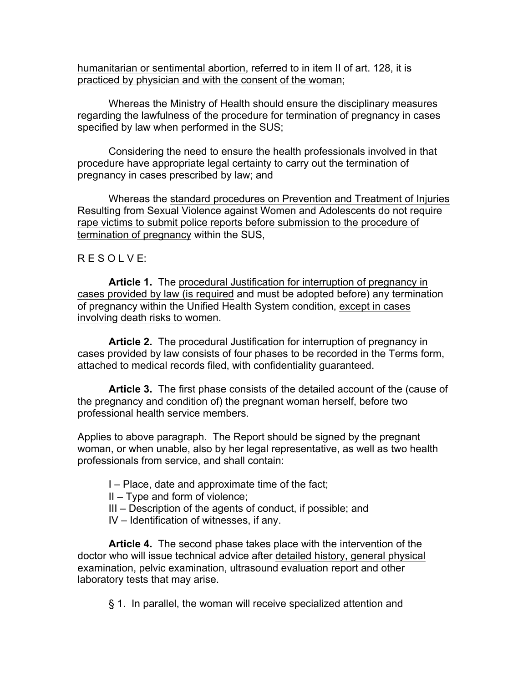humanitarian or sentimental abortion, referred to in item II of art. 128, it is practiced by physician and with the consent of the woman;

Whereas the Ministry of Health should ensure the disciplinary measures regarding the lawfulness of the procedure for termination of pregnancy in cases specified by law when performed in the SUS;

Considering the need to ensure the health professionals involved in that procedure have appropriate legal certainty to carry out the termination of pregnancy in cases prescribed by law; and

Whereas the standard procedures on Prevention and Treatment of Injuries Resulting from Sexual Violence against Women and Adolescents do not require rape victims to submit police reports before submission to the procedure of termination of pregnancy within the SUS,

## R E S O L V E:

**Article 1.** The procedural Justification for interruption of pregnancy in cases provided by law (is required and must be adopted before) any termination of pregnancy within the Unified Health System condition, except in cases involving death risks to women.

**Article 2.** The procedural Justification for interruption of pregnancy in cases provided by law consists of four phases to be recorded in the Terms form, attached to medical records filed, with confidentiality guaranteed.

**Article 3.** The first phase consists of the detailed account of the (cause of the pregnancy and condition of) the pregnant woman herself, before two professional health service members.

Applies to above paragraph. The Report should be signed by the pregnant woman, or when unable, also by her legal representative, as well as two health professionals from service, and shall contain:

- I Place, date and approximate time of the fact;
- II Type and form of violence;
- III Description of the agents of conduct, if possible; and
- IV Identification of witnesses, if any.

**Article 4.** The second phase takes place with the intervention of the doctor who will issue technical advice after detailed history, general physical examination, pelvic examination, ultrasound evaluation report and other laboratory tests that may arise.

§ 1. In parallel, the woman will receive specialized attention and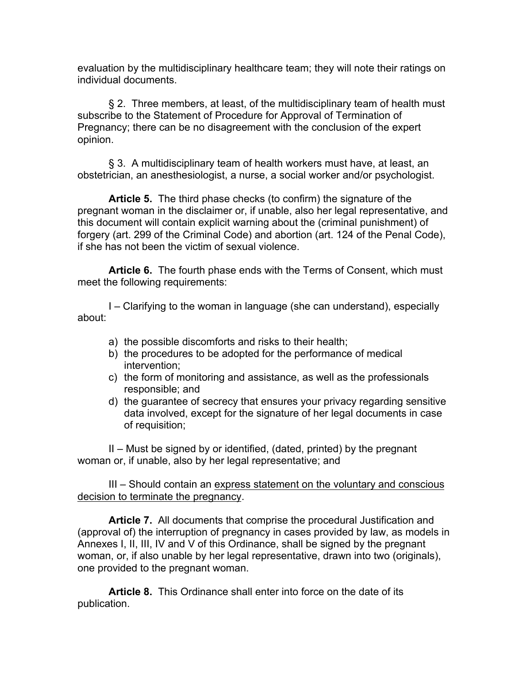evaluation by the multidisciplinary healthcare team; they will note their ratings on individual documents.

§ 2. Three members, at least, of the multidisciplinary team of health must subscribe to the Statement of Procedure for Approval of Termination of Pregnancy; there can be no disagreement with the conclusion of the expert opinion.

§ 3. A multidisciplinary team of health workers must have, at least, an obstetrician, an anesthesiologist, a nurse, a social worker and/or psychologist.

**Article 5.** The third phase checks (to confirm) the signature of the pregnant woman in the disclaimer or, if unable, also her legal representative, and this document will contain explicit warning about the (criminal punishment) of forgery (art. 299 of the Criminal Code) and abortion (art. 124 of the Penal Code), if she has not been the victim of sexual violence.

**Article 6.** The fourth phase ends with the Terms of Consent, which must meet the following requirements:

I – Clarifying to the woman in language (she can understand), especially about:

- a) the possible discomforts and risks to their health;
- b) the procedures to be adopted for the performance of medical intervention;
- c) the form of monitoring and assistance, as well as the professionals responsible; and
- d) the guarantee of secrecy that ensures your privacy regarding sensitive data involved, except for the signature of her legal documents in case of requisition;

II – Must be signed by or identified, (dated, printed) by the pregnant woman or, if unable, also by her legal representative; and

III – Should contain an express statement on the voluntary and conscious decision to terminate the pregnancy.

**Article 7.** All documents that comprise the procedural Justification and (approval of) the interruption of pregnancy in cases provided by law, as models in Annexes I, II, III, IV and V of this Ordinance, shall be signed by the pregnant woman, or, if also unable by her legal representative, drawn into two (originals), one provided to the pregnant woman.

**Article 8.** This Ordinance shall enter into force on the date of its publication.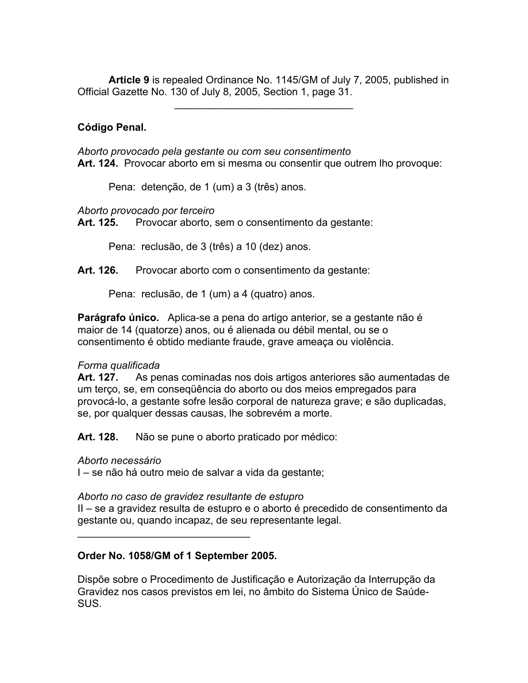**Article 9** is repealed Ordinance No. 1145/GM of July 7, 2005, published in Official Gazette No. 130 of July 8, 2005, Section 1, page 31.

 $\mathcal{L}_\text{max}$  and  $\mathcal{L}_\text{max}$  and  $\mathcal{L}_\text{max}$ 

# **Código Penal.**

*Aborto provocado pela gestante ou com seu consentimento* **Art. 124.** Provocar aborto em si mesma ou consentir que outrem lho provoque:

Pena: detenção, de 1 (um) a 3 (três) anos.

*Aborto provocado por terceiro*

**Art. 125.** Provocar aborto, sem o consentimento da gestante:

Pena: reclusão, de 3 (três) a 10 (dez) anos.

Art. 126. Provocar aborto com o consentimento da gestante:

Pena: reclusão, de 1 (um) a 4 (quatro) anos.

**Parágrafo único.** Aplica-se a pena do artigo anterior, se a gestante não é maior de 14 (quatorze) anos, ou é alienada ou débil mental, ou se o consentimento é obtido mediante fraude, grave ameaça ou violência.

## *Forma qualificada*

**Art. 127.** As penas cominadas nos dois artigos anteriores são aumentadas de um terço, se, em conseqüência do aborto ou dos meios empregados para provocá-lo, a gestante sofre lesão corporal de natureza grave; e são duplicadas, se, por qualquer dessas causas, lhe sobrevém a morte.

**Art. 128.** Não se pune o aborto praticado por médico:

#### *Aborto necessário*

I – se não há outro meio de salvar a vida da gestante;

#### *Aborto no caso de gravidez resultante de estupro*

II – se a gravidez resulta de estupro e o aborto é precedido de consentimento da gestante ou, quando incapaz, de seu representante legal.

## **Order No. 1058/GM of 1 September 2005.**

 $\mathcal{L}=\{1,2,3,4,5\}$ 

Dispõe sobre o Procedimento de Justificação e Autorização da Interrupção da Gravidez nos casos previstos em lei, no âmbito do Sistema Único de Saúde-SUS.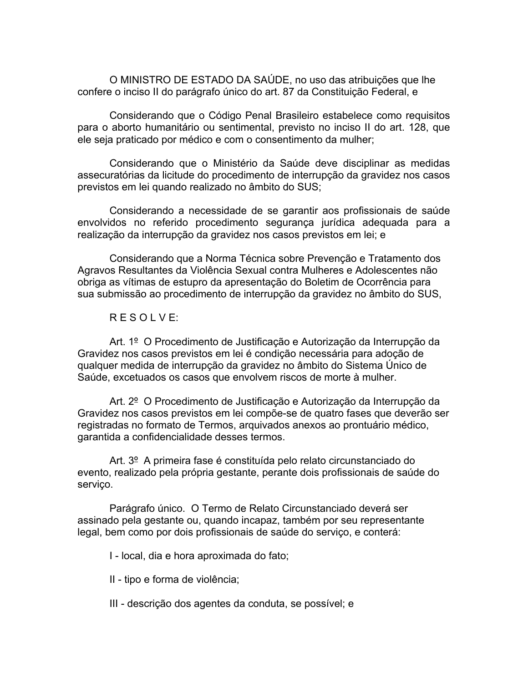O MINISTRO DE ESTADO DA SAÚDE, no uso das atribuições que lhe confere o inciso II do parágrafo único do art. 87 da Constituição Federal, e

Considerando que o Código Penal Brasileiro estabelece como requisitos para o aborto humanitário ou sentimental, previsto no inciso II do art. 128, que ele seja praticado por médico e com o consentimento da mulher;

Considerando que o Ministério da Saúde deve disciplinar as medidas assecuratórias da licitude do procedimento de interrupção da gravidez nos casos previstos em lei quando realizado no âmbito do SUS;

Considerando a necessidade de se garantir aos profissionais de saúde envolvidos no referido procedimento segurança jurídica adequada para a realização da interrupção da gravidez nos casos previstos em lei; e

Considerando que a Norma Técnica sobre Prevenção e Tratamento dos Agravos Resultantes da Violência Sexual contra Mulheres e Adolescentes não obriga as vítimas de estupro da apresentação do Boletim de Ocorrência para sua submissão ao procedimento de interrupção da gravidez no âmbito do SUS,

# R E S O L V E:

Art. 1º O Procedimento de Justificação e Autorização da Interrupção da Gravidez nos casos previstos em lei é condição necessária para adoção de qualquer medida de interrupção da gravidez no âmbito do Sistema Único de Saúde, excetuados os casos que envolvem riscos de morte à mulher.

Art. 2º O Procedimento de Justificação e Autorização da Interrupção da Gravidez nos casos previstos em lei compõe-se de quatro fases que deverão ser registradas no formato de Termos, arquivados anexos ao prontuário médico, garantida a confidencialidade desses termos.

Art. 3<sup>o</sup> A primeira fase é constituída pelo relato circunstanciado do evento, realizado pela própria gestante, perante dois profissionais de saúde do serviço.

Parágrafo único. O Termo de Relato Circunstanciado deverá ser assinado pela gestante ou, quando incapaz, também por seu representante legal, bem como por dois profissionais de saúde do serviço, e conterá:

I - local, dia e hora aproximada do fato;

II - tipo e forma de violência;

III - descrição dos agentes da conduta, se possível; e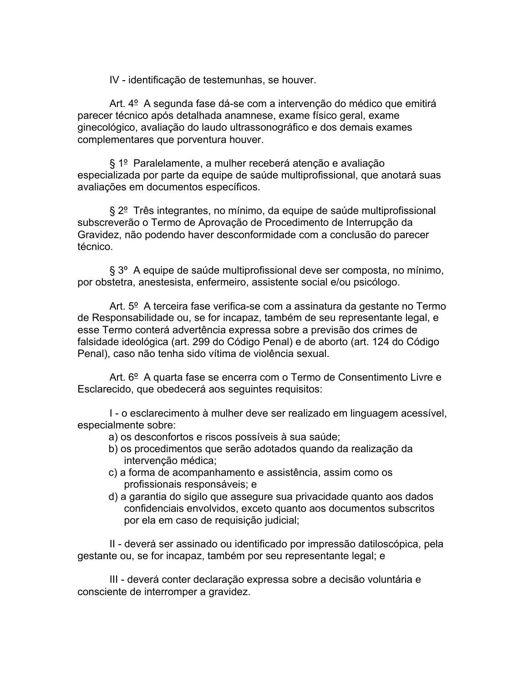IV - identificação de testemunhas, se houver.

Art. 4º A segunda fase dá-se com a intervenção do médico que emitirá parecer técnico após detalhada anamnese, exame físico geral, exame ginecológico, avaliação do laudo ultrassonográfico e dos demais exames complementares que porventura houver.

§ 1º Paralelamente, a mulher receberá atenção e avaliação especializada por parte da equipe de saúde multiprofissional, que anotará suas avaliações em documentos específicos.

§ 2<sup>°</sup> Três integrantes, no mínimo, da equipe de saúde multiprofissional subscreverão o Termo de Aprovação de Procedimento de Interrupção da Gravidez, não podendo haver desconformidade com a conclusão do parecer técnico.

§ 3º A equipe de saúde multiprofissional deve ser composta, no mínimo, por obstetra, anestesista, enfermeiro, assistente social e/ou psicólogo.

Art. 5º A terceira fase verifica-se com a assinatura da gestante no Termo de Responsabilidade ou, se for incapaz, também de seu representante legal, e esse Termo conterá advertência expressa sobre a previsão dos crimes de falsidade ideológica (art. 299 do Código Penal) e de aborto (art. 124 do Código Penal), caso não tenha sido vítima de violência sexual.

Art. 6<sup>o</sup> A quarta fase se encerra com o Termo de Consentimento Livre e Esclarecido, que obedecerá aos seguintes requisitos:

I - o esclarecimento à mulher deve ser realizado em linguagem acessível, especialmente sobre:

- a) os desconfortos e riscos possíveis à sua saúde;
- b) os procedimentos que serão adotados quando da realização da intervenção médica;
- c) a forma de acompanhamento e assistência, assim como os profissionais responsáveis; e
- d) a garantia do sigilo que assegure sua privacidade quanto aos dados confidenciais envolvidos, exceto quanto aos documentos subscritos por ela em caso de requisição judicial;

II - deverá ser assinado ou identificado por impressão datiloscópica, pela gestante ou, se for incapaz, também por seu representante legal; e

III - deverá conter declaração expressa sobre a decisão voluntária e consciente de interromper a gravidez.